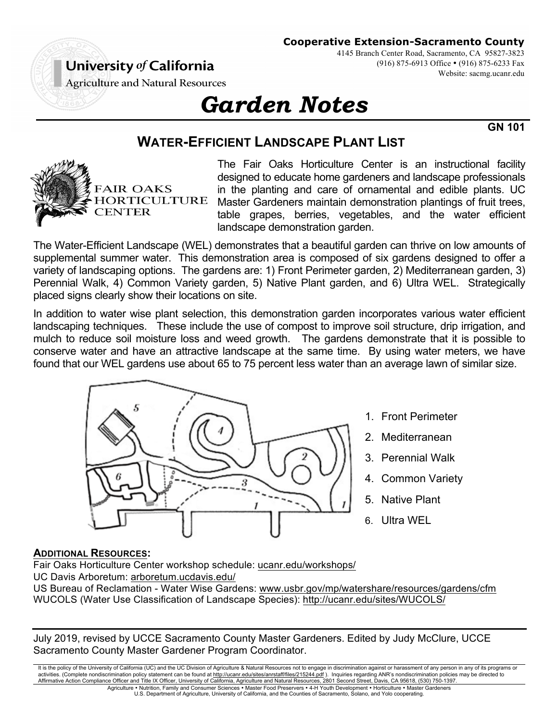# **Cooperative Extension-Sacramento County**

University of California

4145 Branch Center Road, Sacramento, CA 95827-3823 (916) 875-6913 Office • (916) 875-6233 Fax Website: sacmg.ucanr.edu

**Agriculture and Natural Resources** 

# *Garden Notes*

**GN 101**

# **WATER-EFFICIENT LANDSCAPE PLANT LIST**



The Fair Oaks Horticulture Center is an instructional facility designed to educate home gardeners and landscape professionals in the planting and care of ornamental and edible plants. UC Master Gardeners maintain demonstration plantings of fruit trees, table grapes, berries, vegetables, and the water efficient landscape demonstration garden.

The Water-Efficient Landscape (WEL) demonstrates that a beautiful garden can thrive on low amounts of supplemental summer water. This demonstration area is composed of six gardens designed to offer a variety of landscaping options. The gardens are: 1) Front Perimeter garden, 2) Mediterranean garden, 3) Perennial Walk, 4) Common Variety garden, 5) Native Plant garden, and 6) Ultra WEL. Strategically placed signs clearly show their locations on site.

In addition to water wise plant selection, this demonstration garden incorporates various water efficient landscaping techniques. These include the use of compost to improve soil structure, drip irrigation, and mulch to reduce soil moisture loss and weed growth. The gardens demonstrate that it is possible to conserve water and have an attractive landscape at the same time. By using water meters, we have found that our WEL gardens use about 65 to 75 percent less water than an average lawn of similar size.



- 1. Front Perimeter
- 2. Mediterranean
- 3. Perennial Walk
- 4. Common Variety
- 5. Native Plant
- 6. Ultra WEL

# **ADDITIONAL RESOURCES:**

Fair Oaks Horticulture Center workshop schedule: ucanr.edu/workshops/ UC Davis Arboretum: arboretum.ucdavis.edu/

US Bureau of Reclamation - Water Wise Gardens: www.usbr.gov/mp/watershare/resources/gardens/cfm WUCOLS (Water Use Classification of Landscape Species): http://ucanr.edu/sites/WUCOLS/

July 2019, revised by UCCE Sacramento County Master Gardeners. Edited by Judy McClure, UCCE Sacramento County Master Gardener Program Coordinator.

It is the policy of the University of California (UC) and the UC Division of Agriculture & Natural Resources not to engage in discrimination against or harassment of any person in any of its programs or activities. (Complete nondiscrimination policy statement can be found at <u>http://ucanr.edu/sites/anrstaff/files/215244.pdf</u> ). Inquiries regarding ANR's nondiscrimination policies may be directed to<br>Affirmative Action Comp Agriculture • Nutrition, Family and Consumer Sciences • Master Food Preservers • 4-H Youth Development • Horticulture • Master Gardeners

U.S. Department of Agriculture, University of California, and the Counties of Sacramento, Solano, and Yolo cooperating.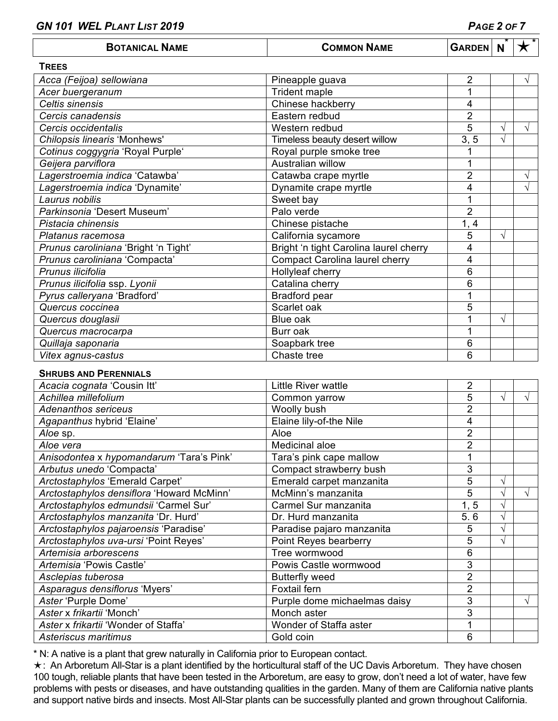| <b>BOTANICAL NAME</b> | <b>COMMON NAME</b> | <b>GARDEN N</b> |  |  |  |
|-----------------------|--------------------|-----------------|--|--|--|
|-----------------------|--------------------|-----------------|--|--|--|

| <b>TREES</b>                         |                                        |                |   |            |
|--------------------------------------|----------------------------------------|----------------|---|------------|
| Acca (Feijoa) sellowiana             | Pineapple guava                        | $\overline{2}$ |   | V          |
| Acer buergeranum                     | Trident maple                          |                |   |            |
| Celtis sinensis                      | Chinese hackberry                      | 4              |   |            |
| Cercis canadensis                    | Eastern redbud                         | $\overline{2}$ |   |            |
| Cercis occidentalis                  | Western redbud                         | 5              | V | $\sqrt{ }$ |
| Chilopsis linearis 'Monhews'         | Timeless beauty desert willow          | 3, 5           | V |            |
| Cotinus coggygria 'Royal Purple'     | Royal purple smoke tree                | 1              |   |            |
| Geijera parviflora                   | Australian willow                      | 1              |   |            |
| Lagerstroemia indica 'Catawba'       | Catawba crape myrtle                   | $\overline{2}$ |   | V          |
| Lagerstroemia indica 'Dynamite'      | Dynamite crape myrtle                  | 4              |   | V          |
| Laurus nobilis                       | Sweet bay                              | 1              |   |            |
| Parkinsonia 'Desert Museum'          | Palo verde                             | $\overline{2}$ |   |            |
| Pistacia chinensis                   | Chinese pistache                       | 1, 4           |   |            |
| Platanus racemosa                    | California sycamore                    | 5              | V |            |
| Prunus caroliniana 'Bright 'n Tight' | Bright 'n tight Carolina laurel cherry | 4              |   |            |
| Prunus caroliniana 'Compacta'        | <b>Compact Carolina laurel cherry</b>  | 4              |   |            |
| Prunus ilicifolia                    | Hollyleaf cherry                       | 6              |   |            |
| Prunus ilicifolia ssp. Lyonii        | Catalina cherry                        | 6              |   |            |
| Pyrus calleryana 'Bradford'          | Bradford pear                          | 1              |   |            |
| Quercus coccinea                     | Scarlet oak                            | 5              |   |            |
| Quercus douglasii                    | Blue oak                               |                | V |            |
| Quercus macrocarpa                   | Burr oak                               | 1              |   |            |
| Quillaja saponaria                   | Soapbark tree                          | 6              |   |            |
| Vitex agnus-castus                   | Chaste tree                            | 6              |   |            |

#### **SHRUBS AND PERENNIALS**

| Acacia cognata 'Cousin Itt'               | Little River wattle          | 2              |               |    |
|-------------------------------------------|------------------------------|----------------|---------------|----|
| Achillea millefolium                      | Common yarrow                | 5              | V             |    |
| <b>Adenanthos sericeus</b>                | Woolly bush                  | $\overline{2}$ |               |    |
| Agapanthus hybrid 'Elaine'                | Elaine lily-of-the Nile      | 4              |               |    |
| Aloe sp.                                  | Aloe                         | $\overline{2}$ |               |    |
| Aloe vera                                 | Medicinal aloe               | $\overline{2}$ |               |    |
| Anisodontea x hypomandarum 'Tara's Pink'  | Tara's pink cape mallow      |                |               |    |
| Arbutus unedo 'Compacta'                  | Compact strawberry bush      | 3              |               |    |
| Arctostaphylos 'Emerald Carpet'           | Emerald carpet manzanita     | 5              | $\mathcal{A}$ |    |
| Arctostaphylos densiflora 'Howard McMinn' | McMinn's manzanita           | 5              |               |    |
| Arctostaphylos edmundsii 'Carmel Sur'     | Carmel Sur manzanita         | 1, 5           | V             |    |
| Arctostaphylos manzanita 'Dr. Hurd'       | Dr. Hurd manzanita           | 5.6            |               |    |
| Arctostaphylos pajaroensis 'Paradise'     | Paradise pajaro manzanita    | 5              | $\mathbf{v}$  |    |
| Arctostaphylos uva-ursi 'Point Reyes'     | Point Reyes bearberry        | 5              | N             |    |
| Artemisia arborescens                     | Tree wormwood                | 6              |               |    |
| Artemisia 'Powis Castle'                  | Powis Castle wormwood        | 3              |               |    |
| Asclepias tuberosa                        | <b>Butterfly weed</b>        | $\overline{2}$ |               |    |
| Asparagus densiflorus 'Myers'             | Foxtail fern                 | $\overline{2}$ |               |    |
| Aster 'Purple Dome'                       | Purple dome michaelmas daisy | 3              |               | اد |
| Aster x frikartii 'Monch'                 | Monch aster                  | 3              |               |    |
| Aster x frikartii 'Wonder of Staffa'      | Wonder of Staffa aster       |                |               |    |
| Asteriscus maritimus                      | Gold coin                    | 6              |               |    |

\* N: A native is a plant that grew naturally in California prior to European contact.

 $\star$ : An Arboretum All-Star is a plant identified by the horticultural staff of the UC Davis Arboretum. They have chosen 100 tough, reliable plants that have been tested in the Arboretum, are easy to grow, don't need a lot of water, have few problems with pests or diseases, and have outstanding qualities in the garden. Many of them are California native plants and support native birds and insects. Most All-Star plants can be successfully planted and grown throughout California.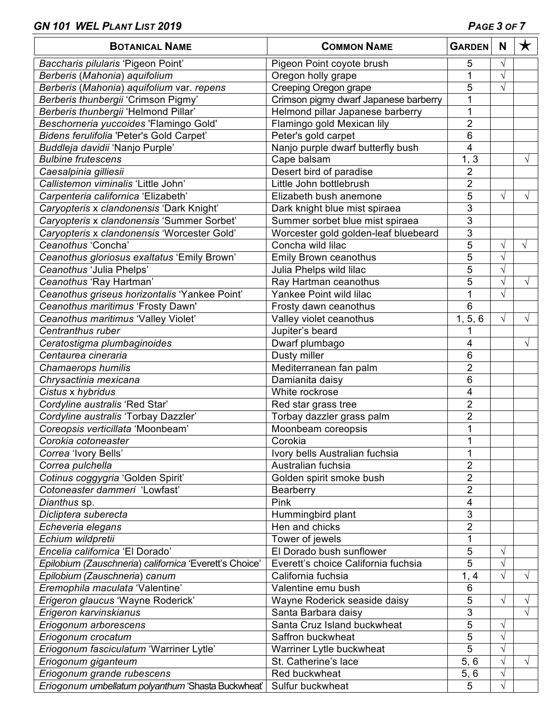| <b>BOTANICAL NAME</b>                                  | <b>COMMON NAME</b>                    | <b>GARDEN</b>  | N          | $\bigstar$ |
|--------------------------------------------------------|---------------------------------------|----------------|------------|------------|
| Baccharis pilularis 'Pigeon Point'                     | Pigeon Point coyote brush             | 5              | V          |            |
| Berberis (Mahonia) aquifolium                          | Oregon holly grape                    | 1              | $\sqrt{}$  |            |
| Berberis (Mahonia) aquifolium var. repens              | Creeping Oregon grape                 | 5              | $\sqrt{}$  |            |
| Berberis thunbergii 'Crimson Pigmy'                    | Crimson pigmy dwarf Japanese barberry | 1              |            |            |
| Berberis thunbergii 'Helmond Pillar'                   | Helmond pillar Japanese barberry      | 1              |            |            |
| Beschorneria yuccoides 'Flamingo Gold'                 | Flamingo gold Mexican lily            | $\overline{2}$ |            |            |
| Bidens ferulifolia 'Peter's Gold Carpet'               | Peter's gold carpet                   | 6              |            |            |
| Buddleja davidii 'Nanjo Purple'                        | Nanjo purple dwarf butterfly bush     | 4              |            |            |
| <b>Bulbine frutescens</b>                              | Cape balsam                           | 1, 3           |            | V          |
| Caesalpinia gilliesii                                  | Desert bird of paradise               | $\overline{2}$ |            |            |
| Callistemon viminalis 'Little John'                    | Little John bottlebrush               | $\overline{2}$ |            |            |
| Carpenteria californica 'Elizabeth'                    | Elizabeth bush anemone                | 5              | $\sqrt{}$  |            |
| Caryopteris x clandonensis 'Dark Knight'               | Dark knight blue mist spiraea         | 3              |            |            |
| Caryopteris x clandonensis 'Summer Sorbet'             | Summer sorbet blue mist spiraea       | 3              |            |            |
| Caryopteris x clandonensis 'Worcester Gold'            | Worcester gold golden-leaf bluebeard  | 3              |            |            |
| Ceanothus 'Concha'                                     | Concha wild lilac                     | 5              | V          | $\sqrt{}$  |
| Ceanothus gloriosus exaltatus 'Emily Brown'            | Emily Brown ceanothus                 | $\overline{5}$ | $\sqrt{}$  |            |
| Ceanothus 'Julia Phelps'                               | Julia Phelps wild lilac               | 5              | V          |            |
| Ceanothus 'Ray Hartman'                                | Ray Hartman ceanothus                 | $\overline{5}$ | $\sqrt{}$  | $\sqrt{ }$ |
| Ceanothus griseus horizontalis 'Yankee Point'          | Yankee Point wild lilac               | 1              | $\sqrt{}$  |            |
| Ceanothus maritimus 'Frosty Dawn'                      | Frosty dawn ceanothus                 | 6              |            |            |
| Ceanothus maritimus 'Valley Violet'                    | Valley violet ceanothus               | 1, 5, 6        | V          | V          |
| Centranthus ruber                                      | Jupiter's beard                       | 1              |            |            |
| Ceratostigma plumbaginoides                            | Dwarf plumbago                        | 4              |            | V          |
| Centaurea cineraria                                    | Dusty miller                          | $\,6$          |            |            |
| Chamaerops humilis                                     | Mediterranean fan palm                | $\overline{2}$ |            |            |
| Chrysactinia mexicana                                  | Damianita daisy                       | 6              |            |            |
| Cistus x hybridus                                      | White rockrose                        | 4              |            |            |
| Cordyline australis 'Red Star'                         | Red star grass tree                   | $\overline{2}$ |            |            |
| Cordyline australis 'Torbay Dazzler'                   | Torbay dazzler grass palm             | $\overline{2}$ |            |            |
| Coreopsis verticillata 'Moonbeam'                      | Moonbeam coreopsis                    | 1              |            |            |
| Corokia cotoneaster                                    | Corokia                               | $\mathbf{1}$   |            |            |
| Correa 'Ivory Bells'                                   | Ivory bells Australian fuchsia        | 1              |            |            |
| Correa pulchella                                       | Australian fuchsia                    | $\overline{2}$ |            |            |
| Cotinus coggygria 'Golden Spirit'                      | Golden spirit smoke bush              | $\overline{2}$ |            |            |
| Cotoneaster dammeri 'Lowfast'                          | Bearberry                             | $\overline{2}$ |            |            |
| Dianthus sp.                                           | Pink                                  | 4              |            |            |
| Dicliptera suberecta                                   | Hummingbird plant                     | 3              |            |            |
| Echeveria elegans                                      | Hen and chicks                        | $\overline{2}$ |            |            |
| Echium wildpretii                                      | Tower of jewels                       | 1              |            |            |
| Encelia californica 'El Dorado'                        | El Dorado bush sunflower              | 5              | $\sqrt{}$  |            |
| Epilobium (Zauschneria) californica 'Everett's Choice' | Everett's choice California fuchsia   | $\overline{5}$ | $\sqrt{}$  |            |
| Epilobium (Zauschneria) canum                          | California fuchsia                    | 1, 4           | V          | $\sqrt{}$  |
| Eremophila maculata 'Valentine'                        | Valentine emu bush                    | 6              |            |            |
| Erigeron glaucus 'Wayne Roderick'                      | Wayne Roderick seaside daisy          | 5              | V          | V          |
| Erigeron karvinskianus                                 | Santa Barbara daisy                   | $\overline{3}$ |            | $\sqrt{}$  |
| Eriogonum arborescens                                  | Santa Cruz Island buckwheat           | $\overline{5}$ | V          |            |
| Eriogonum crocatum                                     | Saffron buckwheat                     | 5              | $\sqrt{}$  |            |
| Eriogonum fasciculatum 'Warriner Lytle'                | Warriner Lytle buckwheat              | 5              | V          |            |
| Eriogonum giganteum                                    | St. Catherine's lace                  | 5, 6           | $\sqrt{ }$ | $\sqrt{ }$ |
| Eriogonum grande rubescens                             | Red buckwheat                         | 5,6            | V          |            |
| Eriogonum umbellatum polyanthum 'Shasta Buckwheat'     | Sulfur buckwheat                      | 5              |            |            |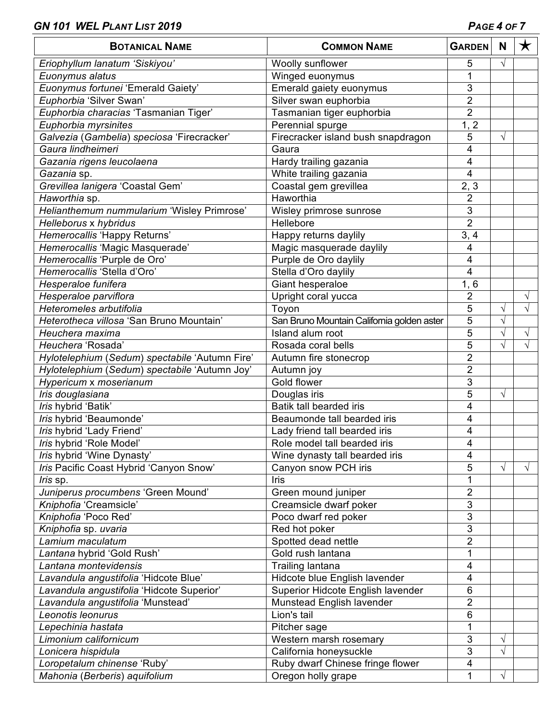| <b>BOTANICAL NAME</b>                          | <b>COMMON NAME</b>                         | <b>GARDEN</b>             | N          | $\bigstar$ |
|------------------------------------------------|--------------------------------------------|---------------------------|------------|------------|
| Eriophyllum lanatum 'Siskiyou'                 | Woolly sunflower                           | 5                         | $\sqrt{ }$ |            |
| Euonymus alatus                                | Winged euonymus                            | 1                         |            |            |
| Euonymus fortunei 'Emerald Gaiety'             | Emerald gaiety euonymus                    | 3                         |            |            |
| Euphorbia 'Silver Swan'                        | Silver swan euphorbia                      | $\overline{2}$            |            |            |
| Euphorbia characias 'Tasmanian Tiger'          | Tasmanian tiger euphorbia                  | $\overline{2}$            |            |            |
| Euphorbia myrsinites                           | Perennial spurge                           | $1, \overline{2}$         |            |            |
| Galvezia (Gambelia) speciosa 'Firecracker'     | Firecracker island bush snapdragon         | 5                         | √          |            |
| Gaura lindheimeri                              | Gaura                                      | 4                         |            |            |
| Gazania rigens leucolaena                      | Hardy trailing gazania                     | 4                         |            |            |
| Gazania sp.                                    | White trailing gazania                     | 4                         |            |            |
| Grevillea lanigera 'Coastal Gem'               | Coastal gem grevillea                      | 2, 3                      |            |            |
| Haworthia sp.                                  | Haworthia                                  | 2                         |            |            |
| Helianthemum nummularium 'Wisley Primrose'     | Wisley primrose sunrose                    | 3                         |            |            |
| Helleborus x hybridus                          | Hellebore                                  | $\overline{2}$            |            |            |
| Hemerocallis 'Happy Returns'                   | Happy returns daylily                      | 3, 4                      |            |            |
| Hemerocallis 'Magic Masquerade'                | Magic masquerade daylily                   | 4                         |            |            |
| Hemerocallis 'Purple de Oro'                   | Purple de Oro daylily                      | $\overline{\mathbf{4}}$   |            |            |
| Hemerocallis 'Stella d'Oro'                    | Stella d'Oro daylily                       | 4                         |            |            |
| Hesperaloe funifera                            | Giant hesperaloe                           | 1, 6                      |            |            |
| Hesperaloe parviflora                          | Upright coral yucca                        | $\overline{2}$            |            | √          |
| Heteromeles arbutifolia                        | Toyon                                      | 5                         | $\sqrt{}$  | $\sqrt{}$  |
| Heterotheca villosa 'San Bruno Mountain'       | San Bruno Mountain California golden aster | 5                         | $\sqrt{}$  |            |
| Heuchera maxima                                | Island alum root                           | 5                         | √          | V          |
| Heuchera 'Rosada'                              | Rosada coral bells                         | 5                         | V          | V          |
| Hylotelephium (Sedum) spectabile 'Autumn Fire' | Autumn fire stonecrop                      | $\overline{2}$            |            |            |
| Hylotelephium (Sedum) spectabile 'Autumn Joy'  | Autumn joy                                 | $\overline{2}$            |            |            |
| Hypericum x moserianum                         | Gold flower                                | 3                         |            |            |
| Iris douglasiana                               | Douglas iris                               | 5                         | $\sqrt{}$  |            |
| Iris hybrid 'Batik'                            | Batik tall bearded iris                    | 4                         |            |            |
| Iris hybrid 'Beaumonde'                        | Beaumonde tall bearded iris                | 4                         |            |            |
| Iris hybrid 'Lady Friend'                      | Lady friend tall bearded iris              | 4                         |            |            |
| Iris hybrid 'Role Model'                       | Role model tall bearded iris               | 4                         |            |            |
| Iris hybrid 'Wine Dynasty'                     | Wine dynasty tall bearded iris             | 4                         |            |            |
| Iris Pacific Coast Hybrid 'Canyon Snow'        | Canyon snow PCH iris                       | 5                         | $\sqrt{}$  | √          |
| <i>Iris</i> sp.                                | Iris                                       | 1                         |            |            |
| Juniperus procumbens 'Green Mound'             | Green mound juniper                        | $\overline{2}$            |            |            |
| Kniphofia 'Creamsicle'                         | Creamsicle dwarf poker                     | $\ensuremath{\mathsf{3}}$ |            |            |
| Kniphofia 'Poco Red'                           | Poco dwarf red poker                       | 3                         |            |            |
| Kniphofia sp. uvaria                           | Red hot poker                              | 3                         |            |            |
| Lamium maculatum                               | Spotted dead nettle                        | $\overline{2}$            |            |            |
| Lantana hybrid 'Gold Rush'                     | Gold rush lantana                          | 1                         |            |            |
| Lantana montevidensis                          | Trailing lantana                           | 4                         |            |            |
| Lavandula angustifolia 'Hidcote Blue'          | Hidcote blue English lavender              | 4                         |            |            |
| Lavandula angustifolia 'Hidcote Superior'      | Superior Hidcote English lavender          | 6                         |            |            |
| Lavandula angustifolia 'Munstead'              | Munstead English lavender                  | $\overline{2}$            |            |            |
| Leonotis leonurus                              | Lion's tail                                | 6                         |            |            |
| Lepechinia hastata                             | Pitcher sage                               | 1                         |            |            |
| Limonium californicum                          | Western marsh rosemary                     | 3                         | $\sqrt{}$  |            |
| Lonicera hispidula                             | California honeysuckle                     | $\overline{3}$            | $\sqrt{}$  |            |
| Loropetalum chinense 'Ruby'                    | Ruby dwarf Chinese fringe flower           | 4                         |            |            |
| Mahonia (Berberis) aquifolium                  | Oregon holly grape                         | 1                         |            |            |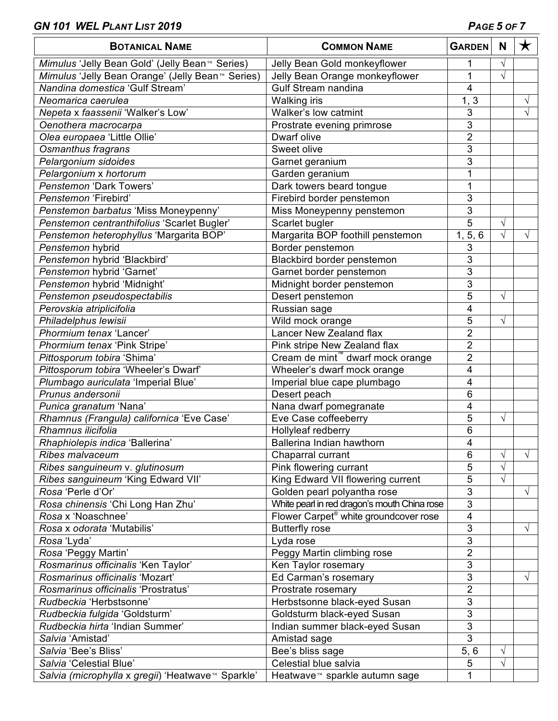| <b>BOTANICAL NAME</b>                                              | <b>COMMON NAME</b>                                                          | <b>GARDEN</b>             | N         | $\bigstar$ |
|--------------------------------------------------------------------|-----------------------------------------------------------------------------|---------------------------|-----------|------------|
| Mimulus 'Jelly Bean Gold' (Jelly Bean <sup>™</sup> Series)         | Jelly Bean Gold monkeyflower                                                | 1                         | V         |            |
| Mimulus 'Jelly Bean Orange' (Jelly Bean <sup>™</sup> Series)       | Jelly Bean Orange monkeyflower                                              | 1                         | $\sqrt{}$ |            |
| Nandina domestica 'Gulf Stream'                                    | Gulf Stream nandina                                                         | 4                         |           |            |
| Neomarica caerulea                                                 | <b>Walking iris</b>                                                         | $1, \overline{3}$         |           | V          |
| Nepeta x faassenii 'Walker's Low'                                  | Walker's low catmint                                                        | 3                         |           | $\sqrt{}$  |
| Oenothera macrocarpa                                               | Prostrate evening primrose                                                  | 3                         |           |            |
| Olea europaea 'Little Ollie'                                       | Dwarf olive                                                                 | $\overline{2}$            |           |            |
| Osmanthus fragrans                                                 | Sweet olive                                                                 | 3                         |           |            |
| Pelargonium sidoides                                               | Garnet geranium                                                             | 3                         |           |            |
| Pelargonium x hortorum                                             | Garden geranium                                                             | 1                         |           |            |
| Penstemon 'Dark Towers'                                            | Dark towers beard tongue                                                    | 1                         |           |            |
| Penstemon 'Firebird'                                               | Firebird border penstemon                                                   | 3                         |           |            |
| Penstemon barbatus 'Miss Moneypenny'                               | Miss Moneypenny penstemon                                                   | 3                         |           |            |
| Penstemon centranthifolius 'Scarlet Bugler'                        | Scarlet bugler                                                              | 5                         | $\sqrt{}$ |            |
| Penstemon heterophyllus 'Margarita BOP'                            | Margarita BOP foothill penstemon                                            | 1, 5, 6                   | √         | V          |
| Penstemon hybrid                                                   | Border penstemon                                                            | 3                         |           |            |
| Penstemon hybrid 'Blackbird'                                       | Blackbird border penstemon                                                  | 3                         |           |            |
| Penstemon hybrid 'Garnet'                                          | Garnet border penstemon                                                     | 3                         |           |            |
| Penstemon hybrid 'Midnight'                                        | Midnight border penstemon                                                   | 3                         |           |            |
| Penstemon pseudospectabilis                                        | Desert penstemon                                                            | $\overline{5}$            | $\sqrt{}$ |            |
| Perovskia atriplicifolia                                           | Russian sage                                                                | 4                         |           |            |
| Philadelphus lewisii                                               | Wild mock orange                                                            | 5                         | $\sqrt{}$ |            |
| Phormium tenax 'Lancer'                                            | Lancer New Zealand flax                                                     | $\overline{2}$            |           |            |
|                                                                    |                                                                             | $\overline{2}$            |           |            |
| Phormium tenax 'Pink Stripe'                                       | Pink stripe New Zealand flax                                                | $\overline{2}$            |           |            |
| Pittosporum tobira 'Shima'<br>Pittosporum tobira 'Wheeler's Dwarf' | Cream de mint <sup>"</sup> dwarf mock orange<br>Wheeler's dwarf mock orange | 4                         |           |            |
|                                                                    |                                                                             |                           |           |            |
| Plumbago auriculata 'Imperial Blue'                                | Imperial blue cape plumbago                                                 | 4                         |           |            |
| Prunus andersonii                                                  | Desert peach                                                                | 6                         |           |            |
| Punica granatum 'Nana'                                             | Nana dwarf pomegranate                                                      | 4                         |           |            |
| Rhamnus (Frangula) californica 'Eve Case'                          | Eve Case coffeeberry                                                        | 5                         | $\sqrt{}$ |            |
| Rhamnus ilicifolia                                                 | Hollyleaf redberry                                                          | 6                         |           |            |
| Rhaphiolepis indica 'Ballerina'                                    | Ballerina Indian hawthorn                                                   | 4                         |           |            |
| Ribes malvaceum                                                    | Chaparral currant                                                           | 6                         | V         | $\sqrt{ }$ |
| Ribes sanguineum v. glutinosum                                     | Pink flowering currant                                                      | 5                         | $\sqrt{}$ |            |
| Ribes sanguineum 'King Edward VII'                                 | King Edward VII flowering current                                           | 5                         | $\sqrt{}$ |            |
| Rosa 'Perle d'Or'                                                  | Golden pearl polyantha rose                                                 | 3                         |           | $\sqrt{ }$ |
| Rosa chinensis 'Chi Long Han Zhu'                                  | White pearl in red dragon's mouth China rose                                | $\overline{3}$            |           |            |
| Rosa x 'Noaschnee'                                                 | Flower Carpet® white groundcover rose                                       | 4                         |           |            |
| Rosa x odorata 'Mutabilis'                                         | <b>Butterfly rose</b>                                                       | 3                         |           | √          |
| Rosa 'Lyda'                                                        | Lyda rose                                                                   | $\ensuremath{\mathsf{3}}$ |           |            |
| Rosa 'Peggy Martin'                                                | Peggy Martin climbing rose                                                  | $\overline{2}$            |           |            |
| Rosmarinus officinalis 'Ken Taylor'                                | Ken Taylor rosemary                                                         | $\mathbf{3}$              |           |            |
| Rosmarinus officinalis 'Mozart'                                    | Ed Carman's rosemary                                                        | 3                         |           | √          |
| Rosmarinus officinalis 'Prostratus'                                | Prostrate rosemary                                                          | $\overline{2}$            |           |            |
| Rudbeckia 'Herbstsonne'                                            | Herbstsonne black-eyed Susan                                                | $\overline{3}$            |           |            |
| Rudbeckia fulgida 'Goldsturm'                                      | Goldsturm black-eyed Susan                                                  | $\overline{3}$            |           |            |
| Rudbeckia hirta 'Indian Summer'                                    | Indian summer black-eyed Susan                                              | $\overline{3}$            |           |            |
| Salvia 'Amistad'                                                   | Amistad sage                                                                | $\overline{3}$            |           |            |
| Salvia 'Bee's Bliss'                                               | Bee's bliss sage                                                            | 5, 6                      | $\sqrt{}$ |            |
| Salvia 'Celestial Blue'                                            | Celestial blue salvia                                                       | $\sqrt{5}$                | $\sqrt{}$ |            |
| Salvia (microphylla x gregii) 'Heatwave™ Sparkle'                  | Heatwave <sup>™</sup> sparkle autumn sage                                   | 1                         |           |            |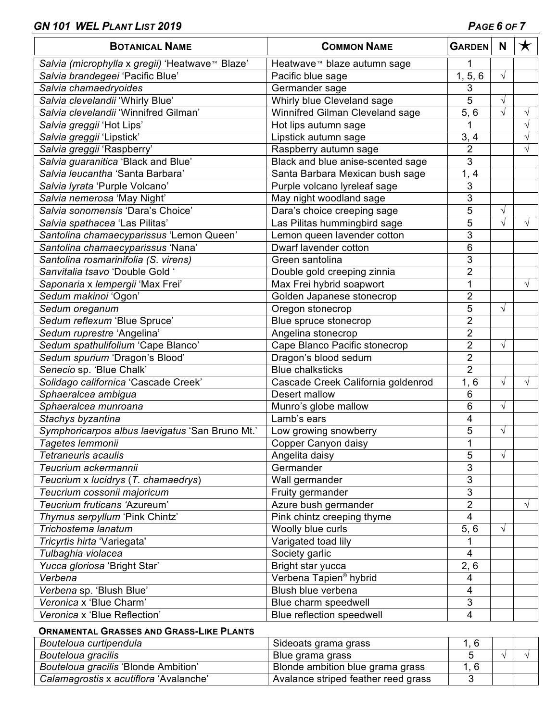| <b>BOTANICAL NAME</b>                           | <b>COMMON NAME</b>                      | <b>GARDEN</b>           | N          | $\bigstar$ |
|-------------------------------------------------|-----------------------------------------|-------------------------|------------|------------|
| Salvia (microphylla x gregii) 'Heatwave™ Blaze' | Heatwave <sup>™</sup> blaze autumn sage | 1                       |            |            |
| Salvia brandegeei 'Pacific Blue'                | Pacific blue sage                       | 1, 5, 6                 | $\sqrt{ }$ |            |
| Salvia chamaedryoides                           | Germander sage                          | 3                       |            |            |
| Salvia clevelandii 'Whirly Blue'                | Whirly blue Cleveland sage              | $\overline{5}$          | $\sqrt{}$  |            |
| Salvia clevelandii 'Winnifred Gilman'           | Winnifred Gilman Cleveland sage         | 5, 6                    | $\sqrt{}$  | V          |
| Salvia greggii 'Hot Lips'                       | Hot lips autumn sage                    |                         |            |            |
| Salvia greggii 'Lipstick'                       | Lipstick autumn sage                    | 3, 4                    |            | V          |
| Salvia greggii 'Raspberry'                      | Raspberry autumn sage                   | $\overline{2}$          |            |            |
| Salvia guaranitica 'Black and Blue'             | Black and blue anise-scented sage       | 3                       |            |            |
| Salvia leucantha 'Santa Barbara'                | Santa Barbara Mexican bush sage         | 1, 4                    |            |            |
| Salvia lyrata 'Purple Volcano'                  | Purple volcano lyreleaf sage            | 3                       |            |            |
| Salvia nemerosa 'May Night'                     | May night woodland sage                 | 3                       |            |            |
| Salvia sonomensis 'Dara's Choice'               | Dara's choice creeping sage             | 5                       | $\sqrt{}$  |            |
| Salvia spathacea 'Las Pilitas'                  | Las Pilitas hummingbird sage            | 5                       | $\sqrt{ }$ | √          |
| Santolina chamaecyparissus 'Lemon Queen'        | Lemon queen lavender cotton             | 3                       |            |            |
| Santolina chamaecyparissus 'Nana'               | Dwarf lavender cotton                   | 6                       |            |            |
| Santolina rosmarinifolia (S. virens)            | Green santolina                         | 3                       |            |            |
| Sanvitalia tsavo 'Double Gold '                 | Double gold creeping zinnia             | $\overline{2}$          |            |            |
| Saponaria x lempergii 'Max Frei'                | Max Frei hybrid soapwort                | 1                       |            | √          |
| Sedum makinoi 'Ogon'                            | Golden Japanese stonecrop               | $\overline{2}$          |            |            |
| Sedum oreganum                                  | Oregon stonecrop                        | 5                       | $\sqrt{}$  |            |
| Sedum reflexum 'Blue Spruce'                    | Blue spruce stonecrop                   | $\overline{2}$          |            |            |
| Sedum ruprestre 'Angelina'                      | Angelina stonecrop                      | $\overline{2}$          |            |            |
| Sedum spathulifolium 'Cape Blanco'              | Cape Blanco Pacific stonecrop           | $\overline{2}$          | $\sqrt{}$  |            |
| Sedum spurium 'Dragon's Blood'                  | Dragon's blood sedum                    | $\overline{2}$          |            |            |
| Senecio sp. 'Blue Chalk'                        | <b>Blue chalksticks</b>                 | $\overline{2}$          |            |            |
| Solidago californica 'Cascade Creek'            | Cascade Creek California goldenrod      | 1, 6                    | $\sqrt{}$  |            |
| Sphaeralcea ambigua                             | Desert mallow                           | 6                       |            |            |
| Sphaeralcea munroana                            | Munro's globe mallow                    | 6                       | $\sqrt{}$  |            |
| Stachys byzantina                               | Lamb's ears                             | 4                       |            |            |
| Symphoricarpos albus laevigatus 'San Bruno Mt.' | Low growing snowberry                   | 5                       | $\sqrt{}$  |            |
| Tagetes lemmonii                                | Copper Canyon daisy                     | 1                       |            |            |
| Tetraneuris acaulis                             | Angelita daisy                          | 5                       | $\sqrt{}$  |            |
| Teucrium ackermannii                            | Germander                               | 3                       |            |            |
| Teucrium x lucidrys (T. chamaedrys)             | Wall germander                          | 3                       |            |            |
| Teucrium cossonii majoricum                     | Fruity germander                        | 3                       |            |            |
| Teucrium fruticans 'Azureum'                    | Azure bush germander                    | $\overline{2}$          |            | √          |
| Thymus serpyllum 'Pink Chintz'                  | Pink chintz creeping thyme              | 4                       |            |            |
| Trichostema lanatum                             | Woolly blue curls                       | 5, 6                    | $\sqrt{ }$ |            |
| Tricyrtis hirta 'Variegata'                     | Varigated toad lily                     | 1                       |            |            |
| Tulbaghia violacea                              | Society garlic                          | 4                       |            |            |
| Yucca gloriosa 'Bright Star'                    | Bright star yucca                       | 2, 6                    |            |            |
| Verbena                                         | Verbena Tapien® hybrid                  | 4                       |            |            |
| Verbena sp. 'Blush Blue'                        | Blush blue verbena                      | 4                       |            |            |
| Veronica x 'Blue Charm'                         | Blue charm speedwell                    | 3                       |            |            |
| Veronica x 'Blue Reflection'                    | Blue reflection speedwell               | $\overline{\mathbf{4}}$ |            |            |

### **ORNAMENTAL GRASSES AND GRASS-LIKE PLANTS**

| Bouteloua curtipendula                 | Sideoats grama grass                |  |  |
|----------------------------------------|-------------------------------------|--|--|
| Bouteloua gracilis                     | Blue grama grass                    |  |  |
| Bouteloua gracilis 'Blonde Ambition'   | Blonde ambition blue grama grass    |  |  |
| Calamagrostis x acutiflora 'Avalanche' | Avalance striped feather reed grass |  |  |